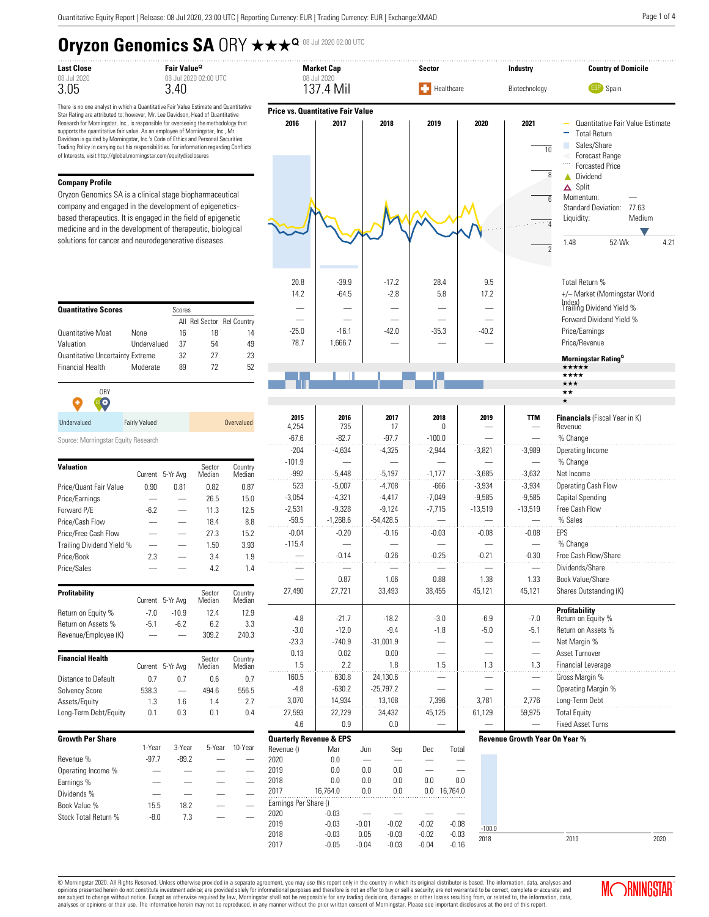# **Oryzon Genomics SA ORY**  $\star\star\star^{\mathbf{Q}}$  **OB Jul 2020 02:00 UTC**

| Last Close  |  |  |  |  |  |  |  |  |  |
|-------------|--|--|--|--|--|--|--|--|--|
| 08 Jul 2020 |  |  |  |  |  |  |  |  |  |
| 3.05        |  |  |  |  |  |  |  |  |  |

There is no one analyst in which a Quantitative Fair Value Estimate and Quantitative Star Rating are attributed to; however, Mr. Lee Davidson, Head of Quantitative Research for Morningstar, Inc., is responsible for overseeing the methodology that supports the quantitative fair value. As an employee of Morningstar, Inc., Mr. Davidson is guided by Morningstar, Inc.'s Code of Ethics and Personal Securities Trading Policy in carrying out his responsibilities. For information regarding Conflicts of Interests, visit http://global.morningstar.com/equitydisclosures

#### **Company Profile**

Oryzon Genomics SA is a clinical stage biopharmaceutical company and engaged in the development of epigeneticsbased therapeutics. It is engaged in the field of epigenetic medicine and in the development of therapeutic, biological solutions for cancer and neurodegenerative diseases.

| <b>Quantitative Scores</b>       | Scores      |    |    |                            |  |  |  |
|----------------------------------|-------------|----|----|----------------------------|--|--|--|
|                                  |             |    |    | All Rel Sector Rel Country |  |  |  |
| <b>Quantitative Moat</b>         | <b>None</b> | 16 | 18 | 14                         |  |  |  |
| Valuation                        | Undervalued | 37 | 54 | 49                         |  |  |  |
| Quantitative Uncertainty Extreme |             | 32 | 27 | 23                         |  |  |  |
| <b>Financial Health</b>          | Moderate    | 89 | 72 | 52                         |  |  |  |

| 0 <sub>RY</sub><br>с<br>$\bullet$ $\bullet$ |                      |            |
|---------------------------------------------|----------------------|------------|
| Undervalued                                 | <b>Fairly Valued</b> | Overvalued |

Source: Morningstar Equity Research

| <b>Valuation</b>          | Current | 5-Yr Avg | Sector<br>Median | Country<br>Median |
|---------------------------|---------|----------|------------------|-------------------|
| Price/Quant Fair Value    | 0.90    | 0.81     | 0.82             | 0.87              |
| Price/Earnings            |         |          | 26.5             | 15.0              |
| Forward P/E               | $-6.7$  |          | 11.3             | 12.5              |
| Price/Cash Flow           |         |          | 18.4             | 8.8               |
| Price/Free Cash Flow      |         |          | 27.3             | 15.2              |
| Trailing Dividend Yield % |         |          | 1.50             | 3.93              |
| Price/Book                | 2.3     |          | 3.4              | 1.9               |
| Price/Sales               |         |          | 4.2              | 1.4               |
| Profitability             | Current | 5-Yr Avg | Sector<br>Median | Country<br>Median |
| Return on Equity %        | $-7.0$  | $-10.9$  | 12.4             | 12.9              |
| Return on Assets %        | $-5.1$  | $-6.7$   | 6.2              | 3.3               |
| Revenue/Employee (K)      |         |          | 309.2            | 240.3             |
| <b>Financial Health</b>   |         |          | Sector           | Country           |
|                           | Current | 5-Yr Avg | Median           | Median            |
| Distance to Default       | 0.7     | 0.7      | 0.6              | 0.7               |
| Solvency Score            | 538.3   |          | 494.6            | 556.5             |
| Assets/Equity             | 1.3     | 1.6      | 1.4              | 2.7               |
| Long-Term Debt/Equity     | 0.1     | 0.3      | 0.1              | 0.4               |
| <b>Growth Per Share</b>   | 1-Year  | 3-Year   | 5-Year           | 10-Year           |
|                           |         |          |                  |                   |

|                      | 1-Year | 3-Year  | 5-Year | 10-Year |
|----------------------|--------|---------|--------|---------|
| Revenue %            | -97 7  | $-89.2$ |        |         |
| Operating Income %   |        |         |        |         |
| Earnings %           |        |         |        |         |
| Dividends %          |        |         |        |         |
| Book Value %         | 15.5   | 18.2    |        |         |
| Stock Total Return % | $-8.0$ | 73      |        |         |
|                      |        |         |        |         |



### **Revenue Growth Year On Year %**

3,070 14,934 13,108 7,396 3,781 2,776 Long-Term Debt 27,593 | 22,729 | 34,432 | 45,125 | 61,129 | 59,975 Total Equity 4.6 0.9 0.0 -  $-$  Fixed Asset Turns



© Morningstar 2020. All Rights Reserved. Unless otherwise provided in a separate agreement, you may use this report only in the country in which its original distributor is based. The information, data, analyses and<br>opinio are subject to change without notice. Except as otherwise required by law, Morningstar shall not be responsible for any trading decisions, damages or other losses resulting from, or related to, the information, data,<br>analy

**Quarterly Revenue & EPS**

Earnings Per Share ()<br>2020 - 0.03

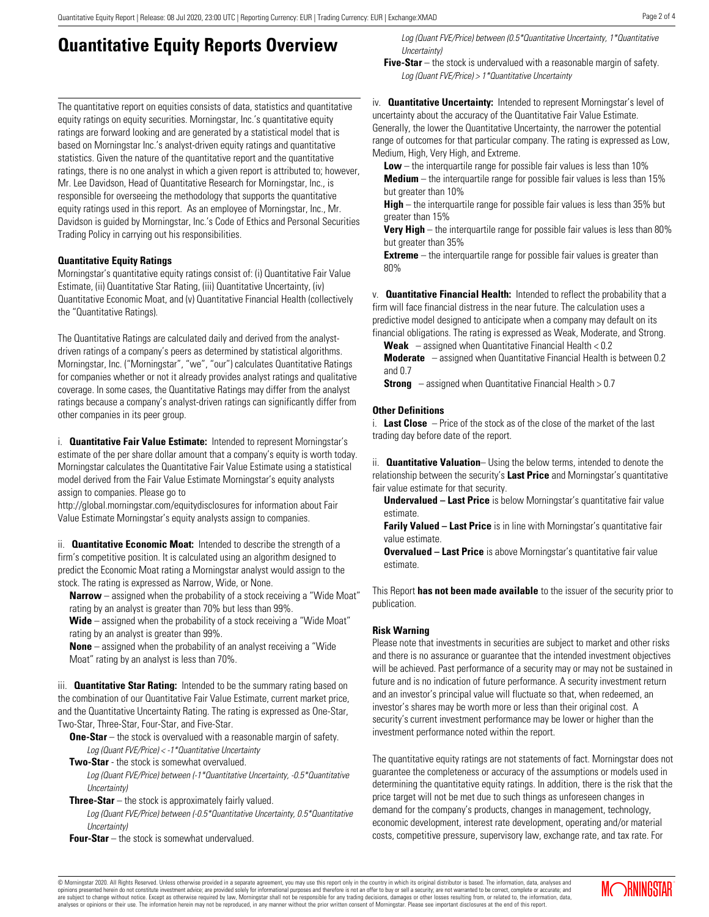## **Quantitative Equity Reports Overview**

The quantitative report on equities consists of data, statistics and quantitative equity ratings on equity securities. Morningstar, Inc.'s quantitative equity ratings are forward looking and are generated by a statistical model that is based on Morningstar Inc.'s analyst-driven equity ratings and quantitative statistics. Given the nature of the quantitative report and the quantitative ratings, there is no one analyst in which a given report is attributed to; however, Mr. Lee Davidson, Head of Quantitative Research for Morningstar, Inc., is responsible for overseeing the methodology that supports the quantitative equity ratings used in this report. As an employee of Morningstar, Inc., Mr. Davidson is guided by Morningstar, Inc.'s Code of Ethics and Personal Securities Trading Policy in carrying out his responsibilities.

### **Quantitative Equity Ratings**

Morningstar's quantitative equity ratings consist of: (i) Quantitative Fair Value Estimate, (ii) Quantitative Star Rating, (iii) Quantitative Uncertainty, (iv) Quantitative Economic Moat, and (v) Quantitative Financial Health (collectively the "Quantitative Ratings).

The Quantitative Ratings are calculated daily and derived from the analystdriven ratings of a company's peers as determined by statistical algorithms. Morningstar, Inc. ("Morningstar", "we", "our") calculates Quantitative Ratings for companies whether or not it already provides analyst ratings and qualitative coverage. In some cases, the Quantitative Ratings may differ from the analyst ratings because a company's analyst-driven ratings can significantly differ from other companies in its peer group.

i. **Quantitative Fair Value Estimate:** Intended to represent Morningstar's estimate of the per share dollar amount that a company's equity is worth today. Morningstar calculates the Quantitative Fair Value Estimate using a statistical model derived from the Fair Value Estimate Morningstar's equity analysts assign to companies. Please go to

http://global.morningstar.com/equitydisclosures for information about Fair Value Estimate Morningstar's equity analysts assign to companies.

ii. **Quantitative Economic Moat:** Intended to describe the strength of a firm's competitive position. It is calculated using an algorithm designed to predict the Economic Moat rating a Morningstar analyst would assign to the stock. The rating is expressed as Narrow, Wide, or None.

**Narrow** – assigned when the probability of a stock receiving a "Wide Moat" rating by an analyst is greater than 70% but less than 99%.

**Wide** – assigned when the probability of a stock receiving a "Wide Moat" rating by an analyst is greater than 99%.

**None** – assigned when the probability of an analyst receiving a "Wide Moat" rating by an analyst is less than 70%.

iii. **Quantitative Star Rating:** Intended to be the summary rating based on the combination of our Quantitative Fair Value Estimate, current market price, and the Quantitative Uncertainty Rating. The rating is expressed as One-Star, Two-Star, Three-Star, Four-Star, and Five-Star.

**One-Star** – the stock is overvalued with a reasonable margin of safety. Log (Quant FVE/Price) < -1\*Quantitative Uncertainty

**Two-Star** - the stock is somewhat overvalued.

Log (Quant FVE/Price) between (-1\*Quantitative Uncertainty, -0.5\*Quantitative Uncertainty)

**Three-Star** – the stock is approximately fairly valued.

Log (Quant FVE/Price) between (-0.5\*Quantitative Uncertainty, 0.5\*Quantitative Uncertainty)

**Four-Star** – the stock is somewhat undervalued.

Log (Quant FVE/Price) between (0.5\*Quantitative Uncertainty, 1\*Quantitative Uncertainty)

**Five-Star** – the stock is undervalued with a reasonable margin of safety. Log (Quant FVE/Price) > 1\*Quantitative Uncertainty

iv. **Quantitative Uncertainty:** Intended to represent Morningstar's level of uncertainty about the accuracy of the Quantitative Fair Value Estimate. Generally, the lower the Quantitative Uncertainty, the narrower the potential range of outcomes for that particular company. The rating is expressed as Low, Medium, High, Very High, and Extreme.

**Low** – the interquartile range for possible fair values is less than 10% **Medium** – the interquartile range for possible fair values is less than 15% but greater than 10%

**High** – the interquartile range for possible fair values is less than 35% but greater than 15%

**Very High** – the interquartile range for possible fair values is less than 80% but greater than 35%

**Extreme** – the interquartile range for possible fair values is greater than 80%

v. **Quantitative Financial Health:** Intended to reflect the probability that a firm will face financial distress in the near future. The calculation uses a predictive model designed to anticipate when a company may default on its financial obligations. The rating is expressed as Weak, Moderate, and Strong.

**Weak** – assigned when Quantitative Financial Health < 0.2

**Moderate** – assigned when Quantitative Financial Health is between 0.2 and 0.7

**Strong** – assigned when Quantitative Financial Health > 0.7

### **Other Definitions**

i. **Last Close** – Price of the stock as of the close of the market of the last trading day before date of the report.

ii. **Quantitative Valuation**– Using the below terms, intended to denote the relationship between the security's **Last Price** and Morningstar's quantitative fair value estimate for that security.

**Undervalued – Last Price** is below Morningstar's quantitative fair value estimate.

**Farily Valued – Last Price** is in line with Morningstar's quantitative fair value estimate.

**Overvalued – Last Price** is above Morningstar's quantitative fair value estimate.

This Report **has not been made available** to the issuer of the security prior to publication.

### **Risk Warning**

Please note that investments in securities are subject to market and other risks and there is no assurance or guarantee that the intended investment objectives will be achieved. Past performance of a security may or may not be sustained in future and is no indication of future performance. A security investment return and an investor's principal value will fluctuate so that, when redeemed, an investor's shares may be worth more or less than their original cost. A security's current investment performance may be lower or higher than the investment performance noted within the report.

The quantitative equity ratings are not statements of fact. Morningstar does not guarantee the completeness or accuracy of the assumptions or models used in determining the quantitative equity ratings. In addition, there is the risk that the price target will not be met due to such things as unforeseen changes in demand for the company's products, changes in management, technology, economic development, interest rate development, operating and/or material costs, competitive pressure, supervisory law, exchange rate, and tax rate. For

© Morningstar 2020. All Rights Reserved. Unless otherwise provided in a separate agreement, you may use this report only in the country in which its original distributor is based. The information, data, analyses and<br>opinio are subject to change without notice. Except as otherwise required by law, Morningstar shall not be responsible for any trading decisions, damages or other losses resulting from, or related to, the information, data,<br>analy

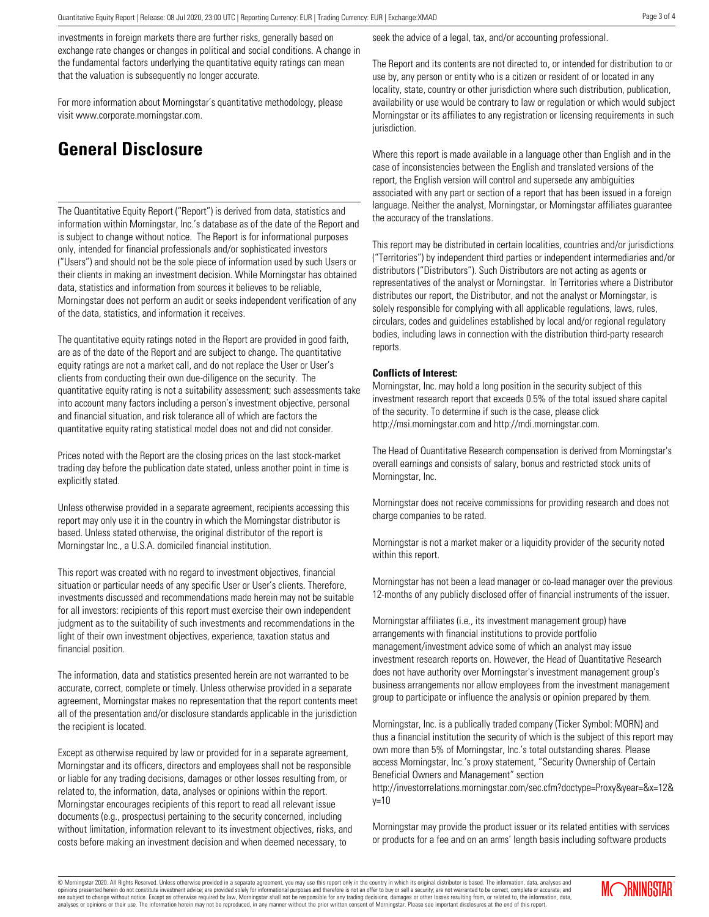investments in foreign markets there are further risks, generally based on exchange rate changes or changes in political and social conditions. A change in the fundamental factors underlying the quantitative equity ratings can mean that the valuation is subsequently no longer accurate.

For more information about Morningstar's quantitative methodology, please visit www.corporate.morningstar.com.

### **General Disclosure**

The Quantitative Equity Report ("Report") is derived from data, statistics and information within Morningstar, Inc.'s database as of the date of the Report and is subject to change without notice. The Report is for informational purposes only, intended for financial professionals and/or sophisticated investors ("Users") and should not be the sole piece of information used by such Users or their clients in making an investment decision. While Morningstar has obtained data, statistics and information from sources it believes to be reliable, Morningstar does not perform an audit or seeks independent verification of any of the data, statistics, and information it receives.

The quantitative equity ratings noted in the Report are provided in good faith, are as of the date of the Report and are subject to change. The quantitative equity ratings are not a market call, and do not replace the User or User's clients from conducting their own due-diligence on the security. The quantitative equity rating is not a suitability assessment; such assessments take into account many factors including a person's investment objective, personal and financial situation, and risk tolerance all of which are factors the quantitative equity rating statistical model does not and did not consider.

Prices noted with the Report are the closing prices on the last stock-market trading day before the publication date stated, unless another point in time is explicitly stated.

Unless otherwise provided in a separate agreement, recipients accessing this report may only use it in the country in which the Morningstar distributor is based. Unless stated otherwise, the original distributor of the report is Morningstar Inc., a U.S.A. domiciled financial institution.

This report was created with no regard to investment objectives, financial situation or particular needs of any specific User or User's clients. Therefore, investments discussed and recommendations made herein may not be suitable for all investors: recipients of this report must exercise their own independent judgment as to the suitability of such investments and recommendations in the light of their own investment objectives, experience, taxation status and financial position.

The information, data and statistics presented herein are not warranted to be accurate, correct, complete or timely. Unless otherwise provided in a separate agreement, Morningstar makes no representation that the report contents meet all of the presentation and/or disclosure standards applicable in the jurisdiction the recipient is located.

Except as otherwise required by law or provided for in a separate agreement, Morningstar and its officers, directors and employees shall not be responsible or liable for any trading decisions, damages or other losses resulting from, or related to, the information, data, analyses or opinions within the report. Morningstar encourages recipients of this report to read all relevant issue documents (e.g., prospectus) pertaining to the security concerned, including without limitation, information relevant to its investment objectives, risks, and costs before making an investment decision and when deemed necessary, to

seek the advice of a legal, tax, and/or accounting professional.

The Report and its contents are not directed to, or intended for distribution to or use by, any person or entity who is a citizen or resident of or located in any locality, state, country or other jurisdiction where such distribution, publication, availability or use would be contrary to law or regulation or which would subject Morningstar or its affiliates to any registration or licensing requirements in such jurisdiction.

Where this report is made available in a language other than English and in the case of inconsistencies between the English and translated versions of the report, the English version will control and supersede any ambiguities associated with any part or section of a report that has been issued in a foreign language. Neither the analyst, Morningstar, or Morningstar affiliates guarantee the accuracy of the translations.

This report may be distributed in certain localities, countries and/or jurisdictions ("Territories") by independent third parties or independent intermediaries and/or distributors ("Distributors"). Such Distributors are not acting as agents or representatives of the analyst or Morningstar. In Territories where a Distributor distributes our report, the Distributor, and not the analyst or Morningstar, is solely responsible for complying with all applicable regulations, laws, rules, circulars, codes and guidelines established by local and/or regional regulatory bodies, including laws in connection with the distribution third-party research reports.

### **Conflicts of Interest:**

Morningstar, Inc. may hold a long position in the security subject of this investment research report that exceeds 0.5% of the total issued share capital of the security. To determine if such is the case, please click http://msi.morningstar.com and http://mdi.morningstar.com.

The Head of Quantitative Research compensation is derived from Morningstar's overall earnings and consists of salary, bonus and restricted stock units of Morningstar, Inc.

Morningstar does not receive commissions for providing research and does not charge companies to be rated.

Morningstar is not a market maker or a liquidity provider of the security noted within this report.

Morningstar has not been a lead manager or co-lead manager over the previous 12-months of any publicly disclosed offer of financial instruments of the issuer.

Morningstar affiliates (i.e., its investment management group) have arrangements with financial institutions to provide portfolio management/investment advice some of which an analyst may issue investment research reports on. However, the Head of Quantitative Research does not have authority over Morningstar's investment management group's business arrangements nor allow employees from the investment management group to participate or influence the analysis or opinion prepared by them.

Morningstar, Inc. is a publically traded company (Ticker Symbol: MORN) and thus a financial institution the security of which is the subject of this report may own more than 5% of Morningstar, Inc.'s total outstanding shares. Please access Morningstar, Inc.'s proxy statement, "Security Ownership of Certain Beneficial Owners and Management" section

http://investorrelations.morningstar.com/sec.cfm?doctype=Proxy&year=&x=12&  $y=10$ 

Morningstar may provide the product issuer or its related entities with services or products for a fee and on an arms' length basis including software products

© Morningstar 2020. All Rights Reserved. Unless otherwise provided in a separate agreement, you may use this report only in the country in which its original distributor is based. The information, data, analyses and<br>opinio are subject to change without notice. Except as otherwise required by law, Morningstar shall not be responsible for any trading decisions, damages or other losses resulting from, or related to, the information, data,<br>analy